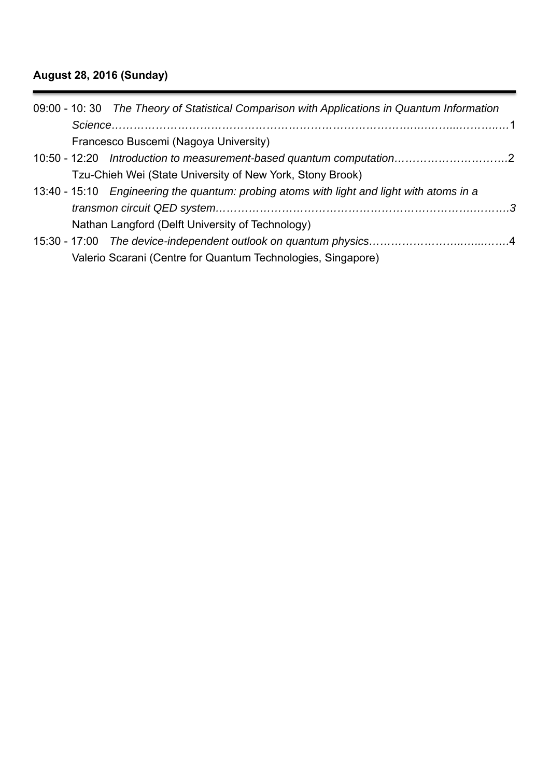# **August 28, 2016 (Sunday)**

| 09:00 - 10: 30 The Theory of Statistical Comparison with Applications in Quantum Information |  |
|----------------------------------------------------------------------------------------------|--|
|                                                                                              |  |
| Francesco Buscemi (Nagoya University)                                                        |  |
| 10:50 - 12:20 Introduction to measurement-based quantum computation2                         |  |
| Tzu-Chieh Wei (State University of New York, Stony Brook)                                    |  |
| 13:40 - 15:10 Engineering the quantum: probing atoms with light and light with atoms in a    |  |
|                                                                                              |  |
| Nathan Langford (Delft University of Technology)                                             |  |
|                                                                                              |  |
| Valerio Scarani (Centre for Quantum Technologies, Singapore)                                 |  |
|                                                                                              |  |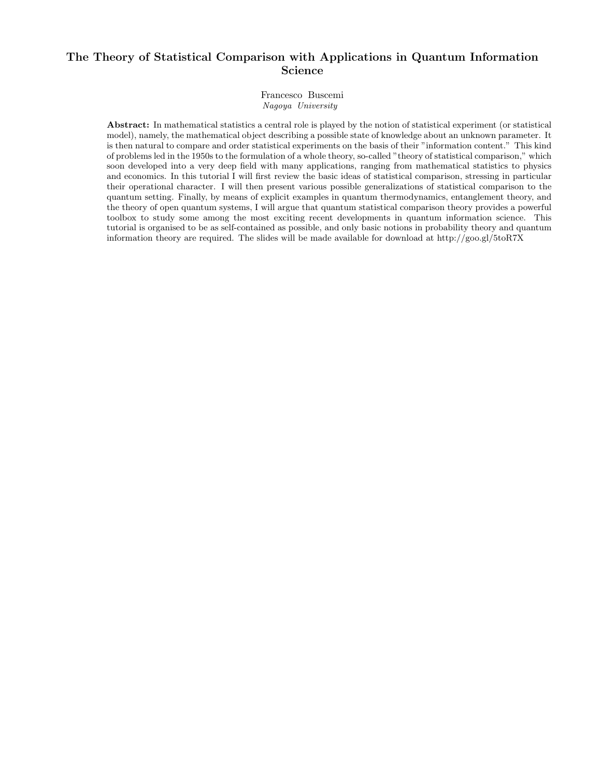### The Theory of Statistical Comparison with Applications in Quantum Information Science

Francesco Buscemi Nagoya University

Abstract: In mathematical statistics a central role is played by the notion of statistical experiment (or statistical model), namely, the mathematical object describing a possible state of knowledge about an unknown parameter. It is then natural to compare and order statistical experiments on the basis of their "information content." This kind of problems led in the 1950s to the formulation of a whole theory, so-called "theory of statistical comparison," which soon developed into a very deep field with many applications, ranging from mathematical statistics to physics and economics. In this tutorial I will first review the basic ideas of statistical comparison, stressing in particular their operational character. I will then present various possible generalizations of statistical comparison to the quantum setting. Finally, by means of explicit examples in quantum thermodynamics, entanglement theory, and the theory of open quantum systems, I will argue that quantum statistical comparison theory provides a powerful toolbox to study some among the most exciting recent developments in quantum information science. This tutorial is organised to be as self-contained as possible, and only basic notions in probability theory and quantum information theory are required. The slides will be made available for download at http://goo.gl/5toR7X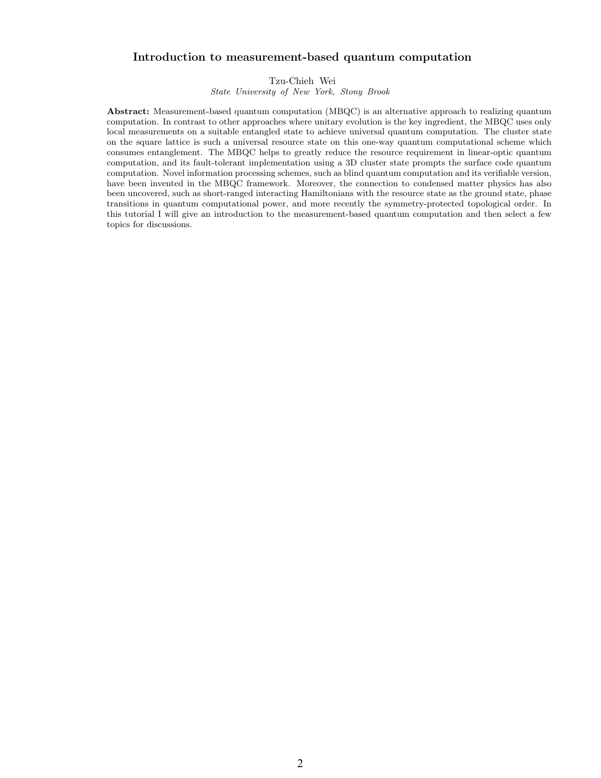#### Introduction to measurement-based quantum computation

Tzu-Chieh Wei

State University of New York, Stony Brook

Abstract: Measurement-based quantum computation (MBQC) is an alternative approach to realizing quantum computation. In contrast to other approaches where unitary evolution is the key ingredient, the MBQC uses only local measurements on a suitable entangled state to achieve universal quantum computation. The cluster state on the square lattice is such a universal resource state on this one-way quantum computational scheme which consumes entanglement. The MBQC helps to greatly reduce the resource requirement in linear-optic quantum computation, and its fault-tolerant implementation using a 3D cluster state prompts the surface code quantum computation. Novel information processing schemes, such as blind quantum computation and its verifiable version, have been invented in the MBQC framework. Moreover, the connection to condensed matter physics has also been uncovered, such as short-ranged interacting Hamiltonians with the resource state as the ground state, phase transitions in quantum computational power, and more recently the symmetry-protected topological order. In this tutorial I will give an introduction to the measurement-based quantum computation and then select a few topics for discussions.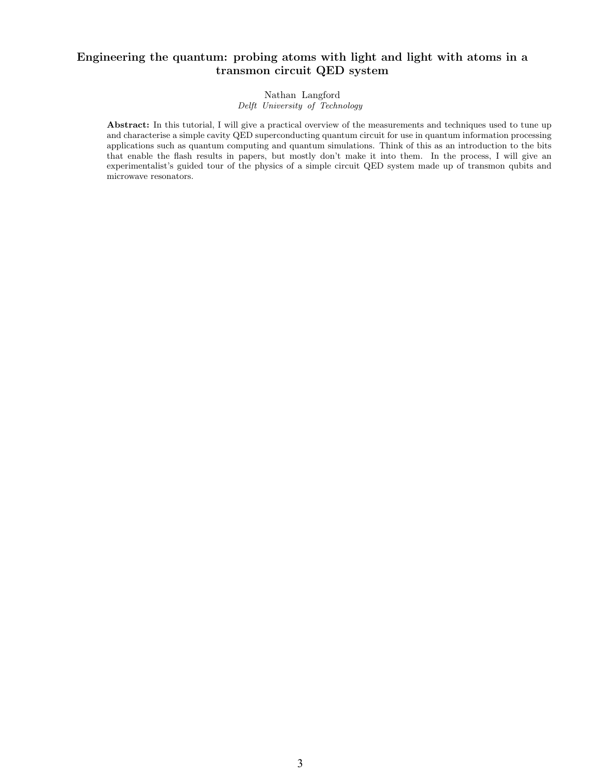#### Engineering the quantum: probing atoms with light and light with atoms in a transmon circuit QED system

#### Nathan Langford Delft University of Technology

Abstract: In this tutorial, I will give a practical overview of the measurements and techniques used to tune up and characterise a simple cavity QED superconducting quantum circuit for use in quantum information processing applications such as quantum computing and quantum simulations. Think of this as an introduction to the bits that enable the flash results in papers, but mostly don't make it into them. In the process, I will give an experimentalist's guided tour of the physics of a simple circuit QED system made up of transmon qubits and microwave resonators.